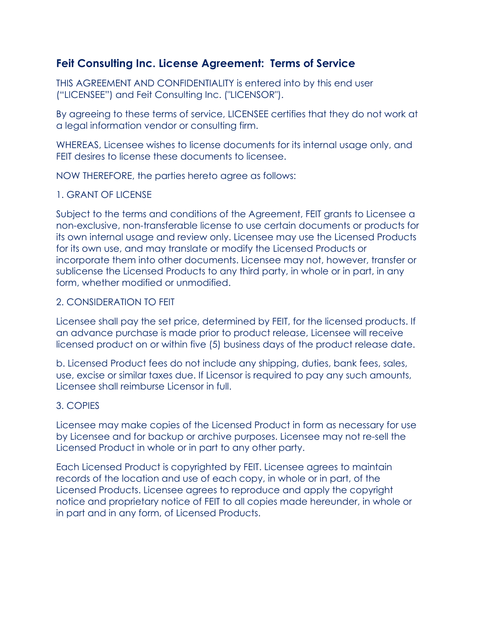# **Feit Consulting Inc. License Agreement: Terms of Service**

THIS AGREEMENT AND CONFIDENTIALITY is entered into by this end user ("LICENSEE") and Feit Consulting Inc. ("LICENSOR").

By agreeing to these terms of service, LICENSEE certifies that they do not work at a legal information vendor or consulting firm.

WHEREAS, Licensee wishes to license documents for its internal usage only, and FEIT desires to license these documents to licensee.

NOW THEREFORE, the parties hereto agree as follows:

## 1. GRANT OF LICENSE

Subject to the terms and conditions of the Agreement, FEIT grants to Licensee a non-exclusive, non-transferable license to use certain documents or products for its own internal usage and review only. Licensee may use the Licensed Products for its own use, and may translate or modify the Licensed Products or incorporate them into other documents. Licensee may not, however, transfer or sublicense the Licensed Products to any third party, in whole or in part, in any form, whether modified or unmodified.

## 2. CONSIDERATION TO FEIT

Licensee shall pay the set price, determined by FEIT, for the licensed products. If an advance purchase is made prior to product release, Licensee will receive licensed product on or within five (5) business days of the product release date.

b. Licensed Product fees do not include any shipping, duties, bank fees, sales, use, excise or similar taxes due. If Licensor is required to pay any such amounts, Licensee shall reimburse Licensor in full.

# 3. COPIES

Licensee may make copies of the Licensed Product in form as necessary for use by Licensee and for backup or archive purposes. Licensee may not re-sell the Licensed Product in whole or in part to any other party.

Each Licensed Product is copyrighted by FEIT. Licensee agrees to maintain records of the location and use of each copy, in whole or in part, of the Licensed Products. Licensee agrees to reproduce and apply the copyright notice and proprietary notice of FEIT to all copies made hereunder, in whole or in part and in any form, of Licensed Products.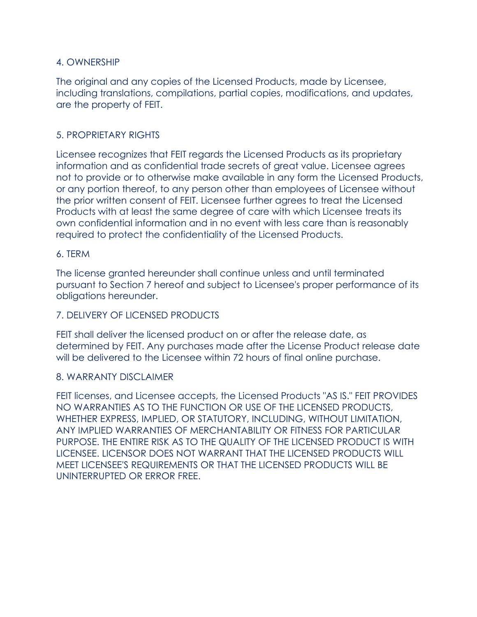## 4. OWNERSHIP

The original and any copies of the Licensed Products, made by Licensee, including translations, compilations, partial copies, modifications, and updates, are the property of FEIT.

# 5. PROPRIETARY RIGHTS

Licensee recognizes that FEIT regards the Licensed Products as its proprietary information and as confidential trade secrets of great value. Licensee agrees not to provide or to otherwise make available in any form the Licensed Products, or any portion thereof, to any person other than employees of Licensee without the prior written consent of FEIT. Licensee further agrees to treat the Licensed Products with at least the same degree of care with which Licensee treats its own confidential information and in no event with less care than is reasonably required to protect the confidentiality of the Licensed Products.

#### 6. TERM

The license granted hereunder shall continue unless and until terminated pursuant to Section 7 hereof and subject to Licensee's proper performance of its obligations hereunder.

#### 7. DELIVERY OF LICENSED PRODUCTS

FEIT shall deliver the licensed product on or after the release date, as determined by FEIT. Any purchases made after the License Product release date will be delivered to the Licensee within 72 hours of final online purchase.

#### 8. WARRANTY DISCLAIMER

FEIT licenses, and Licensee accepts, the Licensed Products "AS IS." FEIT PROVIDES NO WARRANTIES AS TO THE FUNCTION OR USE OF THE LICENSED PRODUCTS, WHETHER EXPRESS, IMPLIED, OR STATUTORY, INCLUDING, WITHOUT LIMITATION, ANY IMPLIED WARRANTIES OF MERCHANTABILITY OR FITNESS FOR PARTICULAR PURPOSE. THE ENTIRE RISK AS TO THE QUALITY OF THE LICENSED PRODUCT IS WITH LICENSEE. LICENSOR DOES NOT WARRANT THAT THE LICENSED PRODUCTS WILL MEET LICENSEE'S REQUIREMENTS OR THAT THE LICENSED PRODUCTS WILL BE UNINTERRUPTED OR ERROR FREE.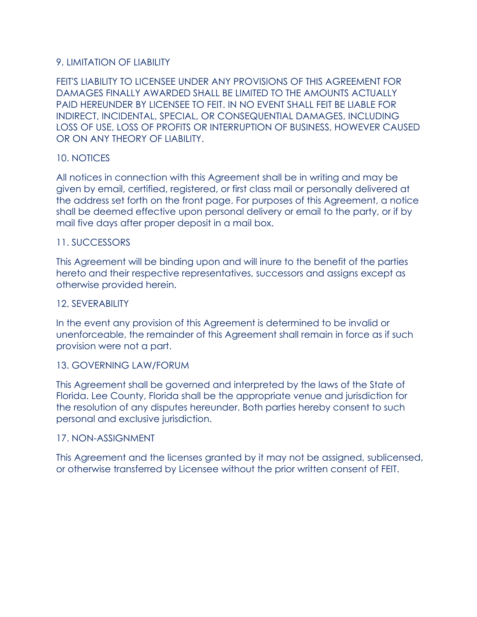# 9. LIMITATION OF LIABILITY

FEIT'S LIABILITY TO LICENSEE UNDER ANY PROVISIONS OF THIS AGREEMENT FOR DAMAGES FINALLY AWARDED SHALL BE LIMITED TO THE AMOUNTS ACTUALLY PAID HEREUNDER BY LICENSEE TO FEIT. IN NO EVENT SHALL FEIT BE LIABLE FOR INDIRECT, INCIDENTAL, SPECIAL, OR CONSEQUENTIAL DAMAGES, INCLUDING LOSS OF USE, LOSS OF PROFITS OR INTERRUPTION OF BUSINESS, HOWEVER CAUSED OR ON ANY THEORY OF LIABILITY.

#### 10. NOTICES

All notices in connection with this Agreement shall be in writing and may be given by email, certified, registered, or first class mail or personally delivered at the address set forth on the front page. For purposes of this Agreement, a notice shall be deemed effective upon personal delivery or email to the party, or if by mail five days after proper deposit in a mail box.

#### 11. SUCCESSORS

This Agreement will be binding upon and will inure to the benefit of the parties hereto and their respective representatives, successors and assigns except as otherwise provided herein.

#### 12. SEVERABILITY

In the event any provision of this Agreement is determined to be invalid or unenforceable, the remainder of this Agreement shall remain in force as if such provision were not a part.

#### 13. GOVERNING LAW/FORUM

This Agreement shall be governed and interpreted by the laws of the State of Florida. Lee County, Florida shall be the appropriate venue and jurisdiction for the resolution of any disputes hereunder. Both parties hereby consent to such personal and exclusive jurisdiction.

#### 17. NON-ASSIGNMENT

This Agreement and the licenses granted by it may not be assigned, sublicensed, or otherwise transferred by Licensee without the prior written consent of FEIT.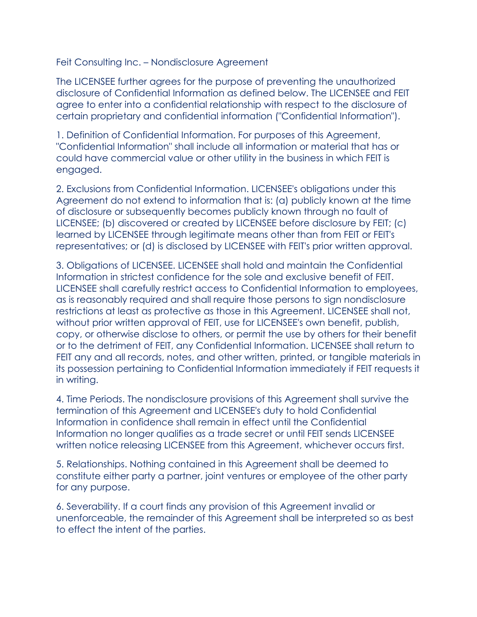Feit Consulting Inc. – Nondisclosure Agreement

The LICENSEE further agrees for the purpose of preventing the unauthorized disclosure of Confidential Information as defined below. The LICENSEE and FEIT agree to enter into a confidential relationship with respect to the disclosure of certain proprietary and confidential information ("Confidential Information").

1. Definition of Confidential Information. For purposes of this Agreement, "Confidential Information" shall include all information or material that has or could have commercial value or other utility in the business in which FEIT is engaged.

2. Exclusions from Confidential Information. LICENSEE's obligations under this Agreement do not extend to information that is: (a) publicly known at the time of disclosure or subsequently becomes publicly known through no fault of LICENSEE; (b) discovered or created by LICENSEE before disclosure by FEIT; (c) learned by LICENSEE through legitimate means other than from FEIT or FEIT's representatives; or (d) is disclosed by LICENSEE with FEIT's prior written approval.

3. Obligations of LICENSEE. LICENSEE shall hold and maintain the Confidential Information in strictest confidence for the sole and exclusive benefit of FEIT. LICENSEE shall carefully restrict access to Confidential Information to employees, as is reasonably required and shall require those persons to sign nondisclosure restrictions at least as protective as those in this Agreement. LICENSEE shall not, without prior written approval of FEIT, use for LICENSEE's own benefit, publish, copy, or otherwise disclose to others, or permit the use by others for their benefit or to the detriment of FEIT, any Confidential Information. LICENSEE shall return to FEIT any and all records, notes, and other written, printed, or tangible materials in its possession pertaining to Confidential Information immediately if FEIT requests it in writing.

4. Time Periods. The nondisclosure provisions of this Agreement shall survive the termination of this Agreement and LICENSEE's duty to hold Confidential Information in confidence shall remain in effect until the Confidential Information no longer qualifies as a trade secret or until FEIT sends LICENSEE written notice releasing LICENSEE from this Agreement, whichever occurs first.

5. Relationships. Nothing contained in this Agreement shall be deemed to constitute either party a partner, joint ventures or employee of the other party for any purpose.

6. Severability. If a court finds any provision of this Agreement invalid or unenforceable, the remainder of this Agreement shall be interpreted so as best to effect the intent of the parties.